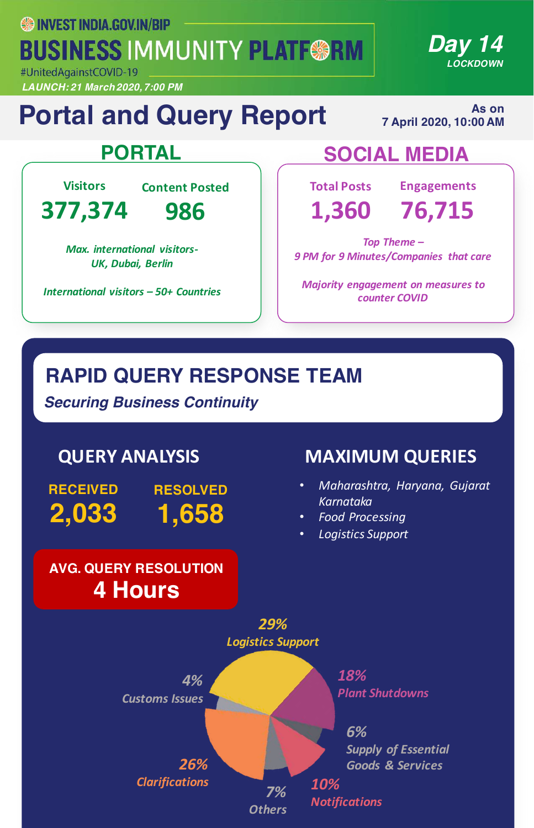**SS INVEST INDIA.GOV.IN/BIP BUSINESS IMMUNITY PLATF@RM** 

#UnitedAgainstCOVID-19 *LAUNCH: 21 March 2020, 7:00 PM*

# **Portal and Query Report**

**As on 7 April 2020, 10:00 AM** 

*Day 14*

*LOCKDOWN*

**Visitors**

**Content Posted**

**377,374**

**986**

*Max. international visitors-UK, Dubai, Berlin*

*International visitors – 50+ Countries*

## **PORTAL SOCIAL MEDIA**

**Total Posts**

**Engagements**

**1,360 76,715**

Top Theme – *9 PM for 9 Minutes/Companies that care*

**Majority engagement on measures to** *counter COVID*

## **RAPID QUERY RESPONSE TEAM**

*Securing Business Continuity*

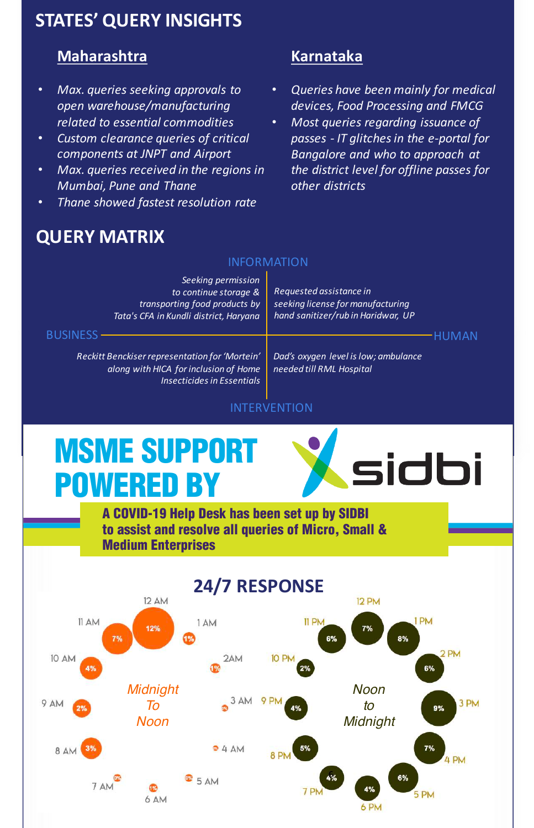### **STATES' QUERY INSIGHTS**

### **Maharashtra**

- *Max. queries seeking approvals to open warehouse/manufacturing related to essential commodities*
- *Custom clearance queries of critical components at JNPT and Airport*
- *Max. queries received in the regions in Mumbai, Pune and Thane*
- *Thane showed fastest resolution rate*

# **QUERY MATRIX**

### **Karnataka**

- *Queries have been mainly for medical devices, Food Processing and FMCG*
- Most queries regarding *issuance* of *passes - IT glitches in the e-portal for*  **Bangalore and who to approach at** *the district level for offline passes for other districts*

### INFORMATION

| Seeking permission<br>to continue storage &<br>transporting food products by<br>Tata's CFA in Kundli district, Haryana                   | Requested assistance in<br>seeking license for manufacturing<br>hand sanitizer/rub in Haridwar, UP |  |
|------------------------------------------------------------------------------------------------------------------------------------------|----------------------------------------------------------------------------------------------------|--|
| <b>BUSINESS</b><br>Reckitt Benckiser representation for 'Mortein'<br>along with HICA for inclusion of Home<br>Insecticides in Essentials | Dad's oxygen level is low; ambulance<br>needed till RML Hospital                                   |  |

### INTERVENTION

### MSME SUPPORT POWERED BY MSME SUPPORT <u>WE SUPPU</u>



A COVID-19 Help Desk has been set up by SIDBI to assist and resolve all queries of Micro, Small & Medium Enterprises

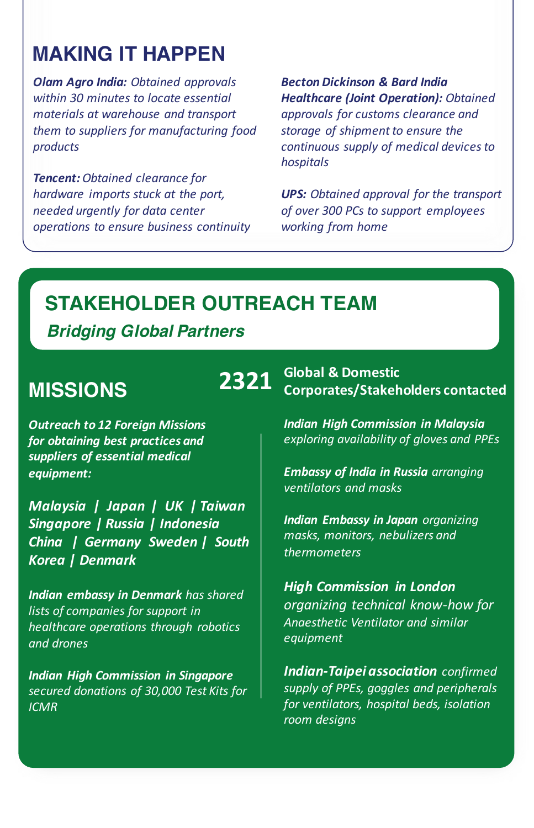# **MAKING IT HAPPEN**

*Olam Agro India: Obtained approvals* within 30 minutes to locate essential *materials at warehouse and transport* them to suppliers for manufacturing food *products*

**Tencent:** Obtained clearance for *hardware imports stuck at the port, needed urgently for data center operations to ensure business continuity* *Becton Dickinson & Bard India*  **Healthcare (Joint Operation):** Obtained *approvals for customs clearance and*  storage of shipment to ensure the *continuous supply of medical devices to hospitals*

*UPS: Obtained approval for the transport* of over 300 PCs to support employees *working from home*

### **STAKEHOLDER OUTREACH TEAM**

### *Bridging Global Partners*

### **MISSIONS**

**Outreach to 12 Foreign Missions** for obtaining best practices and *suppliers of essential medical equipment:*

*Malaysia* | Japan | UK | Taiwan *Singapore | Russia | Indonesia*  **China** | Germany Sweden | South *Korea | Denmark*

**Indian embassy in Denmark** has shared lists of companies for support in *healthcare operations through robotics and drones*

*Indian High Commission in Singapore secured donations of 30,000 Test Kits for ICMR*

**2321** Global & Domestic<br> **2321** Corporates/Stakeholders contacted

*Indian High Commission in Malaysia exploring availability of gloves and PPEs*

*Embassy of India in Russia arranging ventilators and masks*

**Indian Embassy in Japan** organizing *masks, monitors, nebulizers and thermometers*

*High Commission in London organizing technical know-how for Anaesthetic Ventilator and similar equipment*

**Indian-Taipei association** confirmed supply of PPEs, goggles and peripherals *for ventilators, hospital beds, isolation room designs*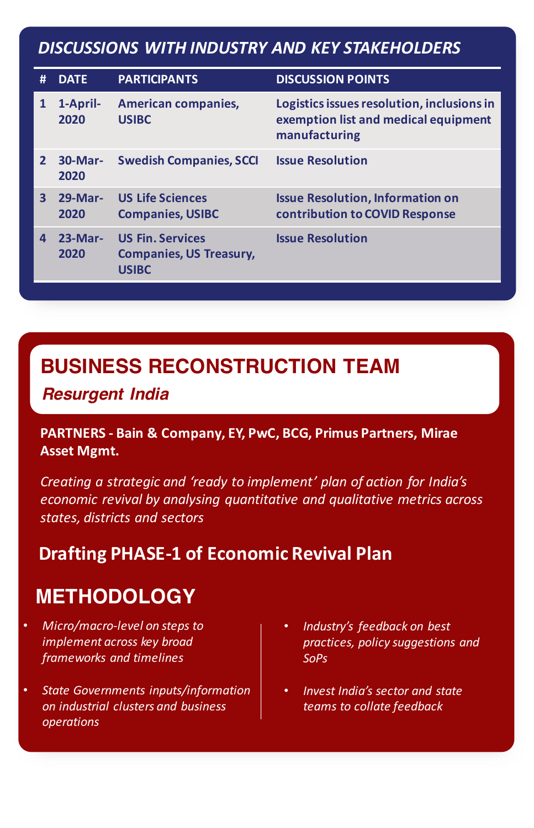### *DISCUSSIONS WITH INDUSTRY AND KEY STAKEHOLDERS*

| #                       | <b>DATE</b>            | <b>PARTICIPANTS</b>                                                       | <b>DISCUSSION POINTS</b>                                                                            |
|-------------------------|------------------------|---------------------------------------------------------------------------|-----------------------------------------------------------------------------------------------------|
| $\mathbf{1}$            | 1-April-<br>2020       | <b>American companies,</b><br><b>USIBC</b>                                | Logistics issues resolution, inclusions in<br>exemption list and medical equipment<br>manufacturing |
| $\overline{2}$          | <b>30-Mar-</b><br>2020 | <b>Swedish Companies, SCCI</b>                                            | <b>Issue Resolution</b>                                                                             |
| $\overline{\mathbf{3}}$ | <b>29-Mar-</b><br>2020 | <b>US Life Sciences</b><br><b>Companies, USIBC</b>                        | <b>Issue Resolution, Information on</b><br>contribution to COVID Response                           |
| $\mathbf{A}$            | $23-Mar-$<br>2020      | <b>US Fin. Services</b><br><b>Companies, US Treasury,</b><br><b>USIBC</b> | <b>Issue Resolution</b>                                                                             |

### **BUSINESS RECONSTRUCTION TEAM**

*Resurgent India*

### PARTNERS - Bain & Company, EY, PwC, BCG, Primus Partners, Mirae **Asset Mgmt.**

*Creating a strategic and 'ready to implement' plan of action for India's economic revival by analysing quantitative and qualitative metrics across states, districts and sectors*

### **Drafting PHASE-1 of Economic Revival Plan**

# **METHODOLOGY**

- *Micro/macro-level on steps to implement across key broad frameworks and timelines*
- **State Governments inputs/information** *on industrial clusters and business operations*
- Industry's feedback on best *practices, policy suggestions and SoPs*
- *Invest India's sector and state teams to collate feedback*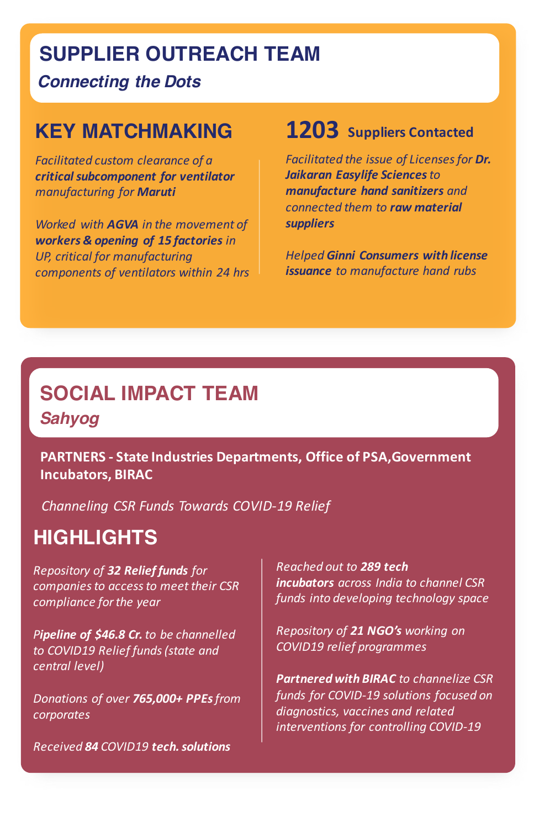### **SUPPLIER OUTREACH TEAM**

*Connecting the Dots*

### **KEY MATCHMAKING**

**Facilitated custom clearance of a** *critical subcomponent for ventilator manufacturing for Maruti*

*Worked with AGVA in the movement of* **workers & opening of 15 factories** in *UP, critical for manufacturing components of ventilators within 24 hrs*

### **1203** Suppliers Contacted

*Facilitated the issue of Licenses for Dr. Jaikaran Easylife Sciences to manufacture hand sanitizers and connected them to raw material suppliers* 

*Helped Ginni Consumers with license issuance* to manufacture hand rubs

# *Sahyog: Social Impact Team* **SOCIAL IMPACT TEAM** *Sahyog*

**PARTNERS** - State Industries Departments, Office of PSA, Government **Incubators, BIRAC** 

*Channeling CSR Funds Towards COVID-19 Relief*

# **HIGHLIGHTS**

*Repository of 32 Relief funds for*  companies to access to meet their CSR *compliance for the year*

**Pipeline of \$46.8 Cr.** to be channelled to COVID19 Relief funds (state and *central level)*

*Donations of over 765,000+ PPEs from corporates*

*Received 84 COVID19 tech. solutions*

*Reached out to 289 tech incubators across India* to *channel* CSR *funds into developing technology space*

*Repository of 21 NGO's working on COVID19 relief programmes*

**Partnered with BIRAC** to channelize CSR funds for COVID-19 solutions focused on diagnostics, vaccines and related interventions for controlling COVID-19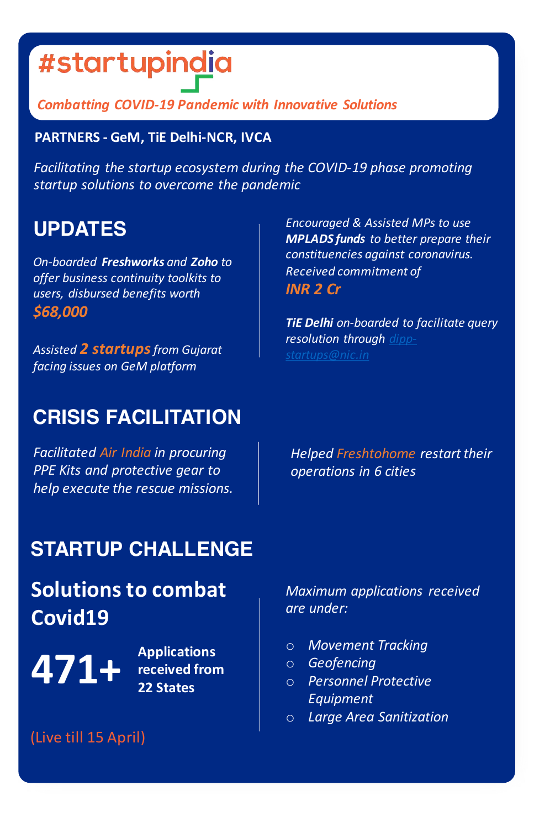# #startupindia

### *Combatting COVID-19 Pandemic with Innovative Solutions*

### **PARTNERS - GeM, TiE Delhi-NCR, IVCA**

Facilitating the startup ecosystem during the COVID-19 phase promoting *startup solutions to overcome the pandemic*

## **UPDATES**

*On-boarded Freshworks and Zoho to offer business continuity toolkits to users, disbursed benefits worth \$68,000*

Assisted 2 **startups** from Gujarat *facing issues on GeM platform*

*Encouraged & Assisted MPs to use* **MPLADS** funds to better prepare their *constituencies against coronavirus. Received commitment of INR 2 Cr*

**TiE Delhi** on-boarded to facilitate query *resolution through dippstartups@nic.in*

# **CRISIS FACILITATION**

**Facilitated Air India in procuring PPE** Kits and protective gear to *help execute the rescue missions.*

**Helped Freshtohome restart their** *operations in 6 cities*

# **STARTUP CHALLENGE**

# **Solutions to combat Covid19**

A71+ **Applications** 

**received from 22 States**

*Maximum applications received are under:*

- o *Movement Tracking*
- o *Geofencing*
- o *Personnel Protective Equipment*
- o *Large Area Sanitization*

(Live till 15 April)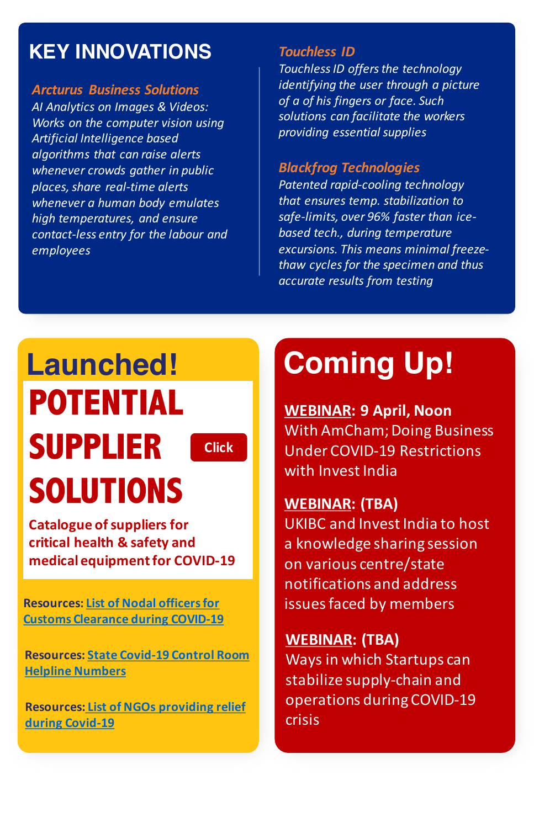# **KEY INNOVATIONS**

*Arcturus Business Solutions* AI Analytics on Images & Videos: *Works on the computer vision using* Artificial Intelligence based *algorithms that can raise alerts whenever* crowds gather in public *places, share real-time alerts whenever* a human body emulates *high temperatures, and ensure contact-less entry for the labour and employees*

#### *Touchless ID*

Touchless ID offers the technology *identifying the user through a picture of a of his fingers or face. Such*  solutions can facilitate the workers *providing essential supplies* 

#### *Blackfrog Technologies*

**Patented rapid-cooling technology** *that ensures temp. stabilization to* safe-limits, over 96% faster than ice*based tech., during temperature*  excursions. This means minimal freeze*thaw cycles for the specimen and thus accurate results from testing*

# **Launched! POTENTIAL SUPPLIER SOLUTIONS**

**Click**

**Catalogue of suppliers for** critical health & safety and **medical equipment for COVID-19** 

**Resources: List of Nodal officers for Customs Clearance during COVID-19** 

**Resources: State Covid-19 Control Room Helpline Numbers**

**Resources: List of NGOs providing relief during Covid-19**

# **Coming Up!**

**WEBINAR: 9 April, Noon** With AmCham; Doing Business Under COVID-19 Restrictions with Invest India

### **WEBINAR: (TBA)**

UKIBC and Invest India to host a knowledge sharing session on various centre/state notifications and address issues faced by members

### **WEBINAR: (TBA)**

Ways in which Startups can stabilize supply-chain and operations during COVID-19 crisis